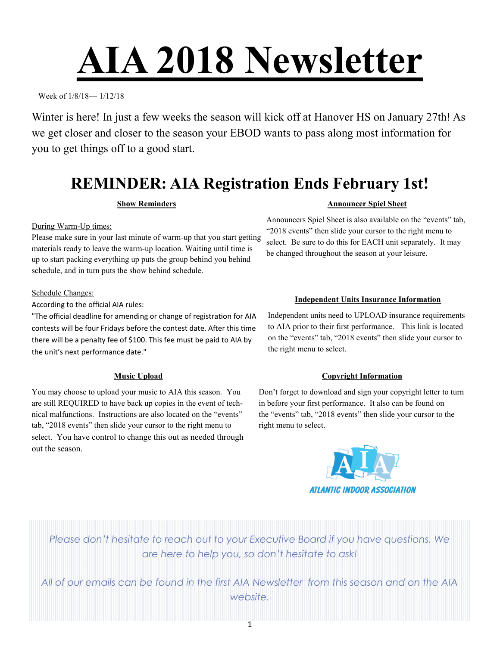# **AIA 2018 Newsletter**

Week of 1/8/18— 1/12/18

Winter is here! In just a few weeks the season will kick off at Hanover HS on January 27th! As we get closer and closer to the season your EBOD wants to pass along most information for you to get things off to a good start.

## **REMINDER: AIA Registration Ends February 1st!**

#### **Show Reminders**

During Warm-Up times:

Please make sure in your last minute of warm-up that you start getting materials ready to leave the warm-up location. Waiting until time is up to start packing everything up puts the group behind you behind schedule, and in turn puts the show behind schedule.

#### Schedule Changes:

According to the official AIA rules:

"The official deadline for amending or change of registration for AIA contests will be four Fridays before the contest date. After this time there will be a penalty fee of \$100. This fee must be paid to AIA by the unit's next performance date."

#### **Music Upload**

You may choose to upload your music to AIA this season. You are still REQUIRED to have back up copies in the event of technical malfunctions. Instructions are also located on the "events" tab, "2018 events" then slide your cursor to the right menu to select. You have control to change this out as needed through out the season.

#### **Announcer Spiel Sheet**

Announcers Spiel Sheet is also available on the "events" tab, "2018 events" then slide your cursor to the right menu to select. Be sure to do this for EACH unit separately. It may be changed throughout the season at your leisure.

#### **Independent Units Insurance Information**

Independent units need to UPLOAD insurance requirements to AIA prior to their first performance. This link is located on the "events" tab, "2018 events" then slide your cursor to the right menu to select.

#### **Copyright Information**

Don't forget to download and sign your copyright letter to turn in before your first performance. It also can be found on the "events" tab, "2018 events" then slide your cursor to the right menu to select.



*Please don't hesitate to reach out to your Executive Board if you have questions. We are here to help you, so don't hesitate to ask!*

*All of our emails can be found in the first AIA Newsletter from this season and on the AIA website.*